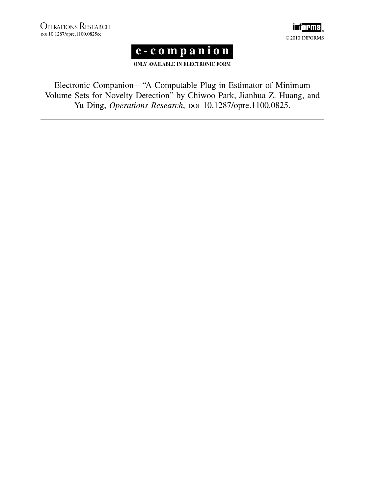



ONLY AVAILABLE IN ELECTRONIC FORM

Electronic Companion—"AComputable Plug-in Estimator of Minimum Volume Sets for Novelty Detection" by Chiwoo Park, Jianhua Z. Huang, and Yu Ding, Operations Research, DOI 10.1287/opre.1100.0825.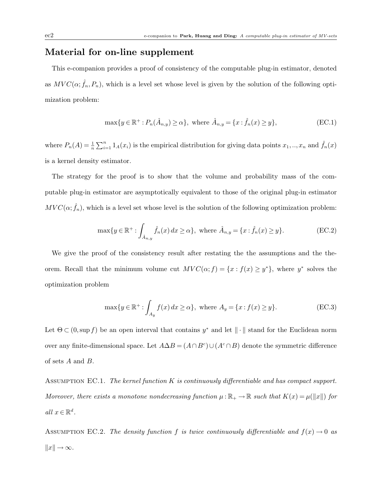## Material for on-line supplement

This e-companion provides a proof of consistency of the computable plug-in estimator, denoted as  $MVC(\alpha; \hat{f}_n, P_n)$ , which is a level set whose level is given by the solution of the following optimization problem:

$$
\max\{y \in \mathbb{R}^+ : P_n(\hat{A}_{n,y}) \ge \alpha\}, \text{ where } \hat{A}_{n,y} = \{x : \hat{f}_n(x) \ge y\},\tag{EC.1}
$$

where  $P_n(A) = \frac{1}{n} \sum_{i=1}^n 1_A(x_i)$  is the empirical distribution for giving data points  $x_1, ..., x_n$  and  $\hat{f}_n(x)$ is a kernel density estimator.

The strategy for the proof is to show that the volume and probability mass of the computable plug-in estimator are asymptotically equivalent to those of the original plug-in estimator  $MVC(\alpha; \hat{f}_n)$ , which is a level set whose level is the solution of the following optimization problem:

$$
\max\{y \in \mathbb{R}^+ : \int_{\hat{A}_{n,y}} \hat{f}_n(x) dx \ge \alpha\}, \text{ where } \hat{A}_{n,y} = \{x : \hat{f}_n(x) \ge y\}. \tag{EC.2}
$$

We give the proof of the consistency result after restating the the assumptions and the theorem. Recall that the minimum volume cut  $MVC(\alpha; f) = \{x : f(x) \geq y^*\}$ , where  $y^*$  solves the optimization problem

$$
\max\{y \in \mathbb{R}^+ : \int_{A_y} f(x) dx \ge \alpha\}, \text{ where } A_y = \{x : f(x) \ge y\}. \tag{EC.3}
$$

Let  $\Theta \subset (0, \sup f)$  be an open interval that contains  $y^*$  and let  $\|\cdot\|$  stand for the Euclidean norm over any finite-dimensional space. Let  $A \Delta B = (A \cap B^c) \cup (A^c \cap B)$  denote the symmetric difference of sets A and B.

ASSUMPTION EC.1. The kernel function  $K$  is continuously differentiable and has compact support. Moreover, there exists a monotone nondecreasing function  $\mu : \mathbb{R}_+ \to \mathbb{R}$  such that  $K(x) = \mu(||x||)$  for all  $x\in \mathbb{R}^d.$ 

ASSUMPTION EC.2. The density function f is twice continuously differentiable and  $f(x) \rightarrow 0$  as  $||x|| \rightarrow \infty$ .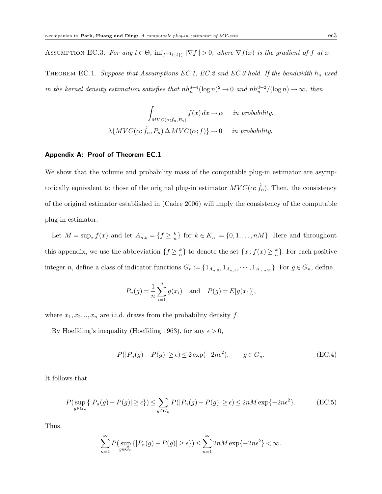ASSUMPTION EC.3. For any  $t \in \Theta$ ,  $\inf_{f^{-1}(\{t\})} \|\nabla f\| > 0$ , where  $\nabla f(x)$  is the gradient of f at x.

THEOREM EC.1. Suppose that Assumptions EC.1, EC.2 and EC.3 hold. If the bandwidth  $h_n$  used in the kernel density estimation satisfies that  $nh_n^{d+4}(\log n)^2 \to 0$  and  $nh_n^{d+2}/(\log n) \to \infty$ , then

$$
\int_{MVC(\alpha;\hat{f}_n, P_n)} f(x) dx \to \alpha \quad in \ probability.
$$
  

$$
\lambda \{ MVC(\alpha;\hat{f}_n, P_n) \Delta MVC(\alpha; f)\} \to 0 \quad in \ probability.
$$

## Appendix A: Proof of Theorem EC.1

We show that the volume and probability mass of the computable plug-in estimator are asymptotically equivalent to those of the original plug-in estimator  $MVC(\alpha; \hat{f}_n)$ . Then, the consistency of the original estimator established in (Cadre 2006) will imply the consistency of the computable plug-in estimator.

Let  $M = \sup_x f(x)$  and let  $A_{n,k} = \{f \geq \frac{k}{n}\}$  $\frac{k}{n}$  for  $k \in K_n := \{0, 1, \ldots, nM\}$ . Here and throughout this appendix, we use the abbreviation  $\{f \geq \frac{k}{n}\}\$  $\frac{k}{n}$ } to denote the set  $\{x: f(x) \geq \frac{k}{n}\}$  $\frac{k}{n}$ . For each positive integer *n*, define a class of indicator functions  $G_n := \{1_{A_{n,0}}, 1_{A_{n,1}}, \cdots, 1_{A_{n,nM}}\}$ . For  $g \in G_n$ , define

$$
P_n(g) = \frac{1}{n} \sum_{i=1}^n g(x_i)
$$
 and  $P(g) = E[g(x_1)],$ 

where  $x_1, x_2, \ldots, x_n$  are i.i.d. draws from the probability density f.

By Hoeffding's inequality (Hoeffding 1963), for any  $\epsilon > 0$ ,

$$
P(|P_n(g) - P(g)| \ge \epsilon) \le 2\exp(-2n\epsilon^2), \qquad g \in G_n.
$$
 (EC.4)

It follows that

$$
P(\sup_{g \in G_n} \{|P_n(g) - P(g)| \ge \epsilon\}) \le \sum_{g \in G_n} P(|P_n(g) - P(g)| \ge \epsilon) \le 2nM \exp\{-2n\epsilon^2\}.
$$
 (EC.5)

Thus,

$$
\sum_{n=1}^{\infty} P\big(\sup_{g \in G_n} \{|P_n(g) - P(g)| \ge \epsilon\}\big) \le \sum_{n=1}^{\infty} 2nM \exp\{-2n\epsilon^2\} < \infty.
$$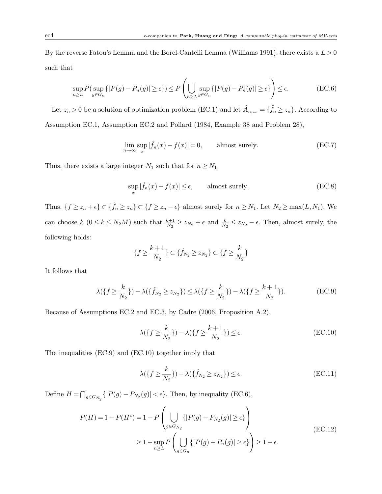By the reverse Fatou's Lemma and the Borel-Cantelli Lemma (Williams 1991), there exists a  $L > 0$ such that

$$
\sup_{n\geq L} P\left(\sup_{g\in G_n} \{|P(g) - P_n(g)| \geq \epsilon\}\right) \leq P\left(\bigcup_{n\geq L} \sup_{g\in G_n} \{|P(g) - P_n(g)| \geq \epsilon\}\right) \leq \epsilon. \tag{EC.6}
$$

Let  $z_n > 0$  be a solution of optimization problem (EC.1) and let  $\hat{A}_{n,z_n} = \{\hat{f}_n \ge z_n\}$ . According to Assumption EC.1, Assumption EC.2 and Pollard (1984, Example 38 and Problem 28),

$$
\lim_{n \to \infty} \sup_{x} |\hat{f}_n(x) - f(x)| = 0, \qquad \text{almost surely.} \tag{EC.7}
$$

Thus, there exists a large integer  $N_1$  such that for  $n \ge N_1$ ,

$$
\sup_{x} |\hat{f}_n(x) - f(x)| \le \epsilon, \qquad \text{almost surely.} \tag{EC.8}
$$

Thus,  $\{f \ge z_n + \epsilon\} \subset \{\hat{f}_n \ge z_n\} \subset \{f \ge z_n - \epsilon\}$  almost surely for  $n \ge N_1$ . Let  $N_2 \ge \max(L, N_1)$ . We can choose  $k$   $(0 \le k \le N_2M)$  such that  $\frac{k+1}{N_2} \ge z_{N_2} + \epsilon$  and  $\frac{k}{N_2} \le z_{N_2} - \epsilon$ . Then, almost surely, the following holds:

$$
\{f \ge \frac{k+1}{N_2}\} \subset \{\hat{f}_{N_2} \ge z_{N_2}\} \subset \{f \ge \frac{k}{N_2}\}\
$$

It follows that

$$
\lambda({f \geq \frac{k}{N_2}}) - \lambda({\hat{f}_{N_2} \geq z_{N_2}}) \leq \lambda({f \geq \frac{k}{N_2}}) - \lambda({f \geq \frac{k+1}{N_2}}). \tag{EC.9}
$$

Because of Assumptions EC.2 and EC.3, by Cadre (2006, Proposition A.2),

$$
\lambda(\lbrace f \ge \frac{k}{N_2} \rbrace) - \lambda(\lbrace f \ge \frac{k+1}{N_2} \rbrace) \le \epsilon.
$$
 (EC.10)

The inequalities (EC.9) and (EC.10) together imply that

$$
\lambda(\lbrace f \geq \frac{k}{N_2} \rbrace) - \lambda(\lbrace \hat{f}_{N_2} \geq z_{N_2} \rbrace) \leq \epsilon.
$$
 (EC.11)

Define  $H = \bigcap_{g \in G_{N_2}} \{|P(g) - P_{N_2}(g)| < \epsilon\}$ . Then, by inequality (EC.6),

$$
P(H) = 1 - P(Hc) = 1 - P\left(\bigcup_{g \in G_{N_2}} \{|P(g) - P_{N_2}(g)| \ge \epsilon\}\right)
$$
  
\n
$$
\ge 1 - \sup_{n \ge L} P\left(\bigcup_{g \in G_n} \{|P(g) - P_n(g)| \ge \epsilon\}\right) \ge 1 - \epsilon.
$$
 (EC.12)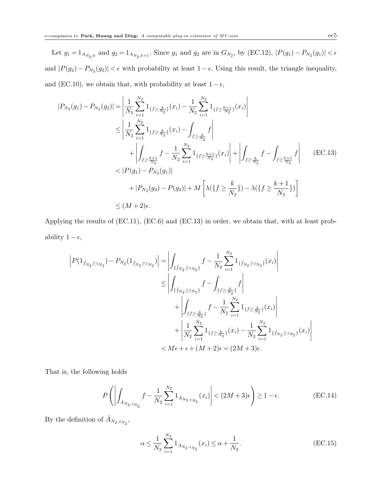Let  $g_1 = 1_{A_{N_2,k}}$  and  $g_2 = 1_{A_{N_2,k+1}}$ . Since  $g_1$  and  $g_2$  are in  $G_{N_2}$ , by (EC.12),  $|P(g_1) - P_{N_2}(g_1)| < \epsilon$ and  $|P(g_2) - P_{N_2}(g_2)| < \epsilon$  with probability at least  $1 - \epsilon$ . Using this result, the triangle inequality, and (EC.10), we obtain that, with probability at least  $1-\epsilon,$ 

$$
|P_{N_2}(g_1) - P_{N_2}(g_2)| = \left| \frac{1}{N_2} \sum_{i=1}^{N_2} 1_{\{f \ge \frac{k}{N_2}\}}(x_i) - \frac{1}{N_2} \sum_{i=1}^{N_2} 1_{\{f \ge \frac{k+1}{N_2}\}}(x_i) \right|
$$
  
\n
$$
\le \left| \frac{1}{N_2} \sum_{i=1}^{N_2} 1_{\{f \ge \frac{k}{N_2}\}}(x_i) - \int_{f \ge \frac{k}{N_2}} f \right|
$$
  
\n
$$
+ \left| \int_{f \ge \frac{k+1}{N_2}} f - \frac{1}{N_2} \sum_{i=1}^{N_2} 1_{\{f \ge \frac{k+1}{N_2}\}}(x_i) \right| + \left| \int_{f \ge \frac{k}{N_2}} f - \int_{f \ge \frac{k+1}{N_2}} f \right| \quad \text{(EC.13)}
$$
  
\n
$$
< |P(g_1) - P_{N_2}(g_1)|
$$
  
\n
$$
+ |P_{N_2}(g_2) - P(g_2)| + M \left[ \lambda (\{f \ge \frac{k}{N_2}\}) - \lambda (\{f \ge \frac{k+1}{N_2}\}) \right]
$$
  
\n
$$
\le (M+2)\epsilon.
$$

Applying the results of (EC.11), (EC.6) and (EC.13) in order, we obtain that, with at least probability  $1 - \epsilon$ ,

$$
\left| P(1_{\hat{f}_{N_2} \ge z_{N_2}}) - P_{N_2}(1_{\hat{f}_{N_2} \ge z_{N_2}}) \right| = \left| \int_{\{\hat{f}_{N_2} \ge z_{N_2}\}} f - \frac{1}{N_2} \sum_{i=1}^{N_2} 1_{\{\hat{f}_{N_2} \ge z_{N_2}\}} (x_i) \right|
$$
  

$$
\le \left| \int_{\{\hat{f}_{N_2} \ge z_{N_2}\}} f - \int_{\{f \ge \frac{k}{N_2}\}} f \right|
$$
  

$$
+ \left| \int_{\{f \ge \frac{k}{N_2}\}} f - \frac{1}{N_2} \sum_{i=1}^{N_2} 1_{\{f \ge \frac{k}{N_2}\}} (x_i) \right|
$$
  

$$
+ \left| \frac{1}{N_2} \sum_{i=1}^{N_2} 1_{\{f \ge \frac{k}{N_2}\}} (x_i) - \frac{1}{N_2} \sum_{i=1}^{N_2} 1_{\{\hat{f}_{N_2} \ge z_{N_2}\}} (x_i) \right|
$$
  

$$
< M\epsilon + \epsilon + (M+2)\epsilon = (2M+3)\epsilon.
$$

That is, the following holds

$$
P\left(\left|\int_{\hat{A}_{N_2,z_{N_2}}} f - \frac{1}{N_2} \sum_{i=1}^{N_2} 1_{\hat{A}_{N_2,z_{N_2}}}(x_i)\right| < (2M+3)\epsilon\right) \ge 1 - \epsilon. \tag{EC.14}
$$

By the definition of  $\hat{A}_{N_2,z_{N_2}}$ ,

$$
\alpha \le \frac{1}{N_2} \sum_{i=1}^{N_2} 1_{\hat{A}_{N_2, z_{N_2}}}(x_i) \le \alpha + \frac{1}{N_2}.
$$
 (EC.15)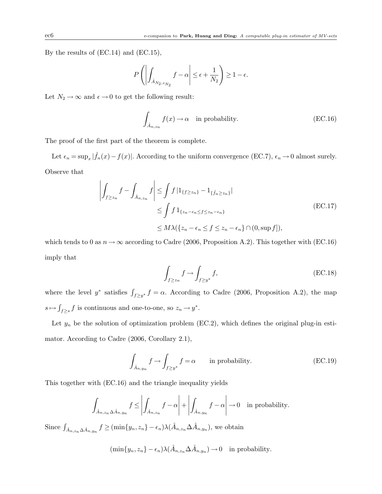By the results of (EC.14) and (EC.15),

$$
P\left(\left|\int_{\hat{A}_{N_2,z_{N_2}}}f-\alpha\right|\leq\epsilon+\frac{1}{N_2}\right)\geq 1-\epsilon.
$$

Let  $N_2 \rightarrow \infty$  and  $\epsilon \rightarrow 0$  to get the following result:

$$
\int_{\hat{A}_{n,z_n}} f(x) \to \alpha \quad \text{in probability.} \tag{EC.16}
$$

The proof of the first part of the theorem is complete.

Let  $\epsilon_n = \sup_x |\hat{f}_n(x) - f(x)|$ . According to the uniform convergence (EC.7),  $\epsilon_n \to 0$  almost surely. Observe that

$$
\left| \int_{f \ge z_n} f - \int_{\hat{A}_{n,z_n}} f \right| \le \int f \left| 1_{\{f \ge z_n\}} - 1_{\{\hat{f}_n \ge z_n\}} \right|
$$
\n
$$
\le \int f 1_{\{z_n - \epsilon_n \le f \le z_n - \epsilon_n\}} \quad \text{(EC.17)}
$$
\n
$$
\le M \lambda \left( \{z_n - \epsilon_n \le f \le z_n - \epsilon_n\} \cap (0, \sup f] \right),
$$

which tends to 0 as  $n \to \infty$  according to Cadre (2006, Proposition A.2). This together with (EC.16) imply that

$$
\int_{f \ge z_n} f \to \int_{f \ge y^*} f,\tag{EC.18}
$$

where the level  $y^*$  satisfies  $\int_{f\geq y^*} f = \alpha$ . According to Cadre (2006, Proposition A.2), the map  $s \mapsto \int_{f \geq s} f$  is continuous and one-to-one, so  $z_n \to y^*$ .

Let  $y_n$  be the solution of optimization problem (EC.2), which defines the original plug-in estimator. According to Cadre (2006, Corollary 2.1),

$$
\int_{\hat{A}_{n,y_n}} f \to \int_{f \ge y^*} f = \alpha \qquad \text{in probability.} \tag{EC.19}
$$

This together with (EC.16) and the triangle inequality yields

$$
\int_{\hat{A}_{n,z_n}\Delta\hat{A}_{n,y_n}} f \le \left| \int_{\hat{A}_{n,z_n}} f - \alpha \right| + \left| \int_{\hat{A}_{n,y_n}} f - \alpha \right| \to 0 \quad \text{in probability.}
$$

Since  $\int_{\hat{A}_{n,z_n}\Delta\hat{A}_{n,y_n}} f \geq (\min\{y_n,z_n\} - \epsilon_n)\lambda(\hat{A}_{n,z_n}\Delta\hat{A}_{n,y_n}),$  we obtain

$$
(\min\{y_n, z_n\} - \epsilon_n) \lambda(\hat{A}_{n,z_n} \Delta \hat{A}_{n,y_n}) \to 0 \text{ in probability.}
$$